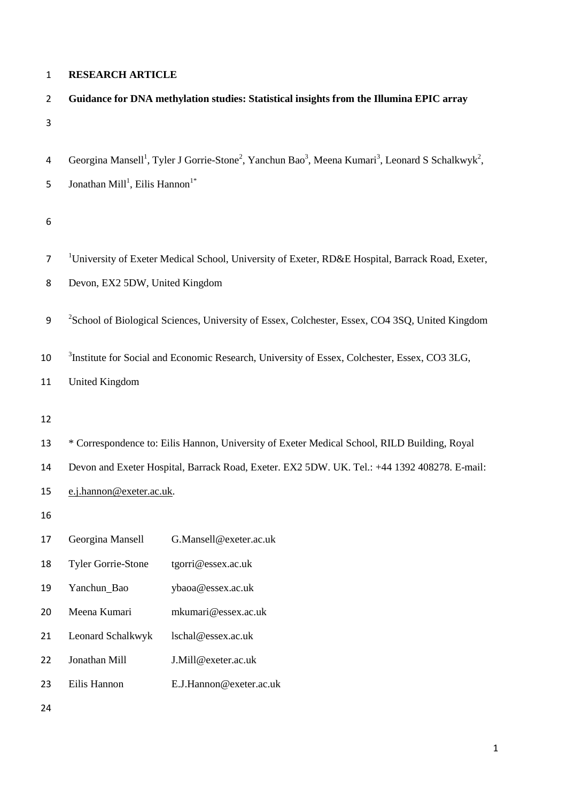# **RESEARCH ARTICLE**

| Guidance for DNA methylation studies: Statistical insights from the Illumina EPIC array |
|-----------------------------------------------------------------------------------------|
|                                                                                         |

- 4 Georgina Mansell<sup>1</sup>, Tyler J Gorrie-Stone<sup>2</sup>, Yanchun Bao<sup>3</sup>, Meena Kumari<sup>3</sup>, Leonard S Schalkwyk<sup>2</sup>,
- 5 Jonathan Mill<sup>1</sup>, Eilis Hannon<sup>1\*</sup>
- 

| $\overline{7}$<br>8 | <sup>1</sup> University of Exeter Medical School, University of Exeter, RD&E Hospital, Barrack Road, Exeter,<br>Devon, EX2 5DW, United Kingdom |                                                                                                           |  |  |  |  |
|---------------------|------------------------------------------------------------------------------------------------------------------------------------------------|-----------------------------------------------------------------------------------------------------------|--|--|--|--|
| 9                   | <sup>2</sup> School of Biological Sciences, University of Essex, Colchester, Essex, CO4 3SQ, United Kingdom                                    |                                                                                                           |  |  |  |  |
| 10                  |                                                                                                                                                | <sup>3</sup> Institute for Social and Economic Research, University of Essex, Colchester, Essex, CO3 3LG, |  |  |  |  |
| 11                  | <b>United Kingdom</b>                                                                                                                          |                                                                                                           |  |  |  |  |
| 12                  |                                                                                                                                                |                                                                                                           |  |  |  |  |
| 13                  |                                                                                                                                                | * Correspondence to: Eilis Hannon, University of Exeter Medical School, RILD Building, Royal              |  |  |  |  |
| 14                  | Devon and Exeter Hospital, Barrack Road, Exeter. EX2 5DW. UK. Tel.: +44 1392 408278. E-mail:                                                   |                                                                                                           |  |  |  |  |
| 15                  | e.j.hannon@exeter.ac.uk.                                                                                                                       |                                                                                                           |  |  |  |  |
| 16                  |                                                                                                                                                |                                                                                                           |  |  |  |  |
| 17                  | Georgina Mansell                                                                                                                               | G.Mansell@exeter.ac.uk                                                                                    |  |  |  |  |
| 18                  | <b>Tyler Gorrie-Stone</b>                                                                                                                      | tgorri@essex.ac.uk                                                                                        |  |  |  |  |
| 19                  | Yanchun_Bao                                                                                                                                    | ybaoa@essex.ac.uk                                                                                         |  |  |  |  |
| 20                  | Meena Kumari                                                                                                                                   | mkumari@essex.ac.uk                                                                                       |  |  |  |  |
| 21                  | Leonard Schalkwyk                                                                                                                              | lschal@essex.ac.uk                                                                                        |  |  |  |  |
| 22                  | Jonathan Mill                                                                                                                                  | J.Mill@exeter.ac.uk                                                                                       |  |  |  |  |
| 23                  | Eilis Hannon                                                                                                                                   | E.J.Hannon@exeter.ac.uk                                                                                   |  |  |  |  |
|                     |                                                                                                                                                |                                                                                                           |  |  |  |  |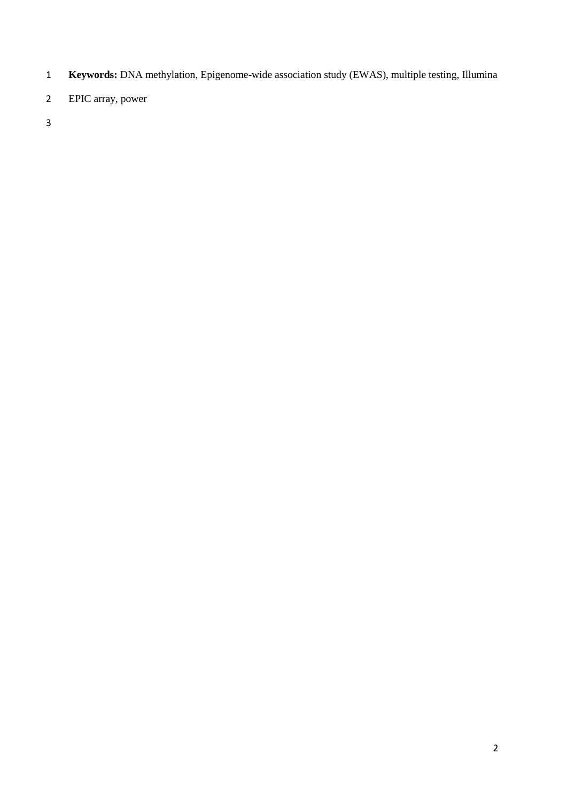- **Keywords:** DNA methylation, Epigenome-wide association study (EWAS), multiple testing, Illumina
- EPIC array, power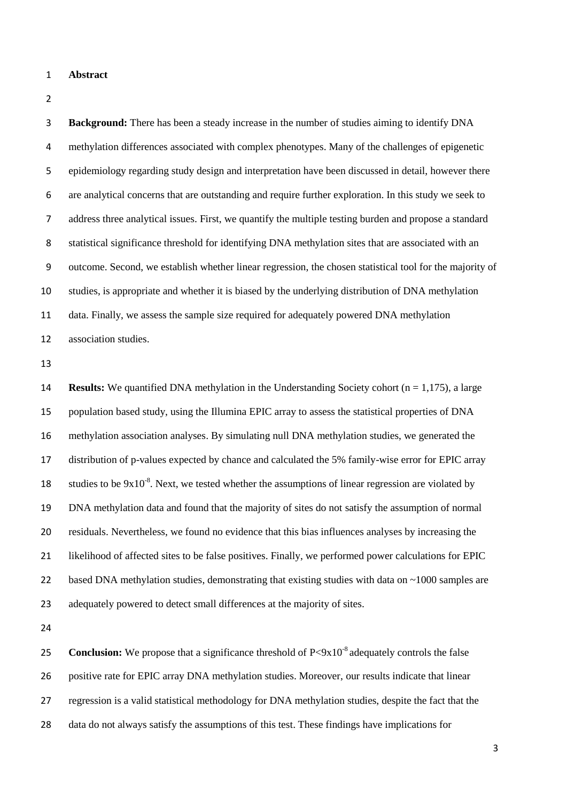- **Abstract**
- 

 **Background:** There has been a steady increase in the number of studies aiming to identify DNA methylation differences associated with complex phenotypes. Many of the challenges of epigenetic epidemiology regarding study design and interpretation have been discussed in detail, however there are analytical concerns that are outstanding and require further exploration. In this study we seek to address three analytical issues. First, we quantify the multiple testing burden and propose a standard statistical significance threshold for identifying DNA methylation sites that are associated with an outcome. Second, we establish whether linear regression, the chosen statistical tool for the majority of studies, is appropriate and whether it is biased by the underlying distribution of DNA methylation data. Finally, we assess the sample size required for adequately powered DNA methylation association studies.

**Results:** We quantified DNA methylation in the Understanding Society cohort ( $n = 1,175$ ), a large population based study, using the Illumina EPIC array to assess the statistical properties of DNA methylation association analyses. By simulating null DNA methylation studies, we generated the distribution of p-values expected by chance and calculated the 5% family-wise error for EPIC array 18 studies to be  $9x10^{-8}$ . Next, we tested whether the assumptions of linear regression are violated by DNA methylation data and found that the majority of sites do not satisfy the assumption of normal residuals. Nevertheless, we found no evidence that this bias influences analyses by increasing the likelihood of affected sites to be false positives. Finally, we performed power calculations for EPIC 22 based DNA methylation studies, demonstrating that existing studies with data on  $\sim$ 1000 samples are adequately powered to detect small differences at the majority of sites.

 Conclusion: We propose that a significance threshold of  $P < 9x10^{-8}$  adequately controls the false positive rate for EPIC array DNA methylation studies. Moreover, our results indicate that linear regression is a valid statistical methodology for DNA methylation studies, despite the fact that the data do not always satisfy the assumptions of this test. These findings have implications for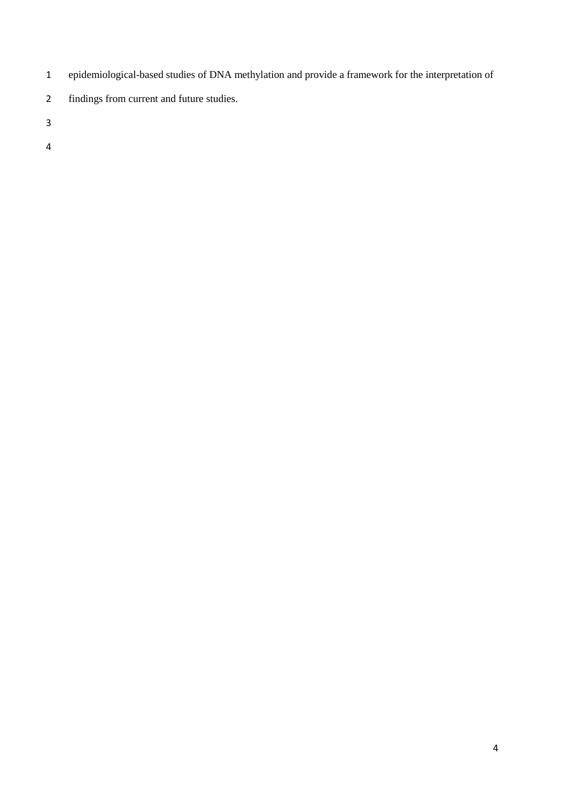- epidemiological-based studies of DNA methylation and provide a framework for the interpretation of
- findings from current and future studies.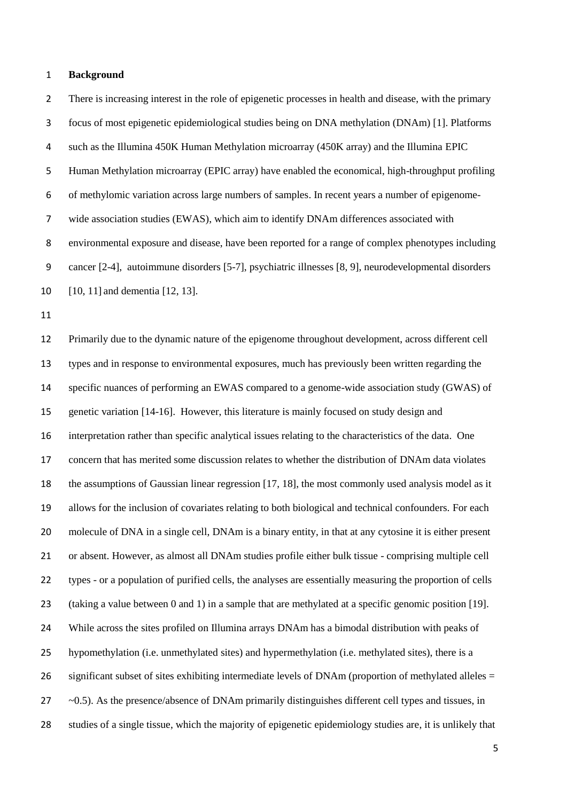### **Background**

2 There is increasing interest in the role of epigenetic processes in health and disease, with the primary focus of most epigenetic epidemiological studies being on DNA methylation (DNAm) [1]. Platforms such as the Illumina 450K Human Methylation microarray (450K array) and the Illumina EPIC Human Methylation microarray (EPIC array) have enabled the economical, high-throughput profiling of methylomic variation across large numbers of samples. In recent years a number of epigenome- wide association studies (EWAS), which aim to identify DNAm differences associated with environmental exposure and disease, have been reported for a range of complex phenotypes including cancer [2-4], autoimmune disorders [5-7], psychiatric illnesses [8, 9], neurodevelopmental disorders [10, 11] and dementia [12, 13].

 Primarily due to the dynamic nature of the epigenome throughout development, across different cell types and in response to environmental exposures, much has previously been written regarding the specific nuances of performing an EWAS compared to a genome-wide association study (GWAS) of genetic variation [14-16]. However, this literature is mainly focused on study design and interpretation rather than specific analytical issues relating to the characteristics of the data. One concern that has merited some discussion relates to whether the distribution of DNAm data violates the assumptions of Gaussian linear regression [17, 18], the most commonly used analysis model as it allows for the inclusion of covariates relating to both biological and technical confounders. For each molecule of DNA in a single cell, DNAm is a binary entity, in that at any cytosine it is either present or absent. However, as almost all DNAm studies profile either bulk tissue - comprising multiple cell types - or a population of purified cells, the analyses are essentially measuring the proportion of cells (taking a value between 0 and 1) in a sample that are methylated at a specific genomic position [19]. While across the sites profiled on Illumina arrays DNAm has a bimodal distribution with peaks of hypomethylation (i.e. unmethylated sites) and hypermethylation (i.e. methylated sites), there is a 26 significant subset of sites exhibiting intermediate levels of DNAm (proportion of methylated alleles = ~0.5). As the presence/absence of DNAm primarily distinguishes different cell types and tissues, in studies of a single tissue, which the majority of epigenetic epidemiology studies are, it is unlikely that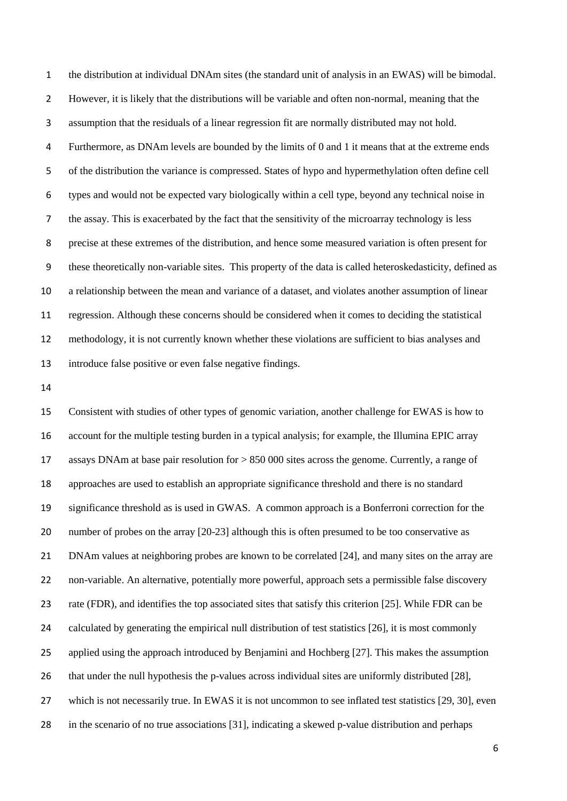the distribution at individual DNAm sites (the standard unit of analysis in an EWAS) will be bimodal. However, it is likely that the distributions will be variable and often non-normal, meaning that the assumption that the residuals of a linear regression fit are normally distributed may not hold. Furthermore, as DNAm levels are bounded by the limits of 0 and 1 it means that at the extreme ends of the distribution the variance is compressed. States of hypo and hypermethylation often define cell types and would not be expected vary biologically within a cell type, beyond any technical noise in the assay. This is exacerbated by the fact that the sensitivity of the microarray technology is less precise at these extremes of the distribution, and hence some measured variation is often present for these theoretically non-variable sites. This property of the data is called heteroskedasticity, defined as a relationship between the mean and variance of a dataset, and violates another assumption of linear regression. Although these concerns should be considered when it comes to deciding the statistical methodology, it is not currently known whether these violations are sufficient to bias analyses and introduce false positive or even false negative findings.

 Consistent with studies of other types of genomic variation, another challenge for EWAS is how to account for the multiple testing burden in a typical analysis; for example, the Illumina EPIC array assays DNAm at base pair resolution for > 850 000 sites across the genome. Currently, a range of approaches are used to establish an appropriate significance threshold and there is no standard significance threshold as is used in GWAS. A common approach is a Bonferroni correction for the number of probes on the array [20-23] although this is often presumed to be too conservative as DNAm values at neighboring probes are known to be correlated [24], and many sites on the array are non-variable. An alternative, potentially more powerful, approach sets a permissible false discovery 23 rate (FDR), and identifies the top associated sites that satisfy this criterion [25]. While FDR can be calculated by generating the empirical null distribution of test statistics [26], it is most commonly applied using the approach introduced by Benjamini and Hochberg [27]. This makes the assumption that under the null hypothesis the p-values across individual sites are uniformly distributed [28], which is not necessarily true. In EWAS it is not uncommon to see inflated test statistics [29, 30], even in the scenario of no true associations [31], indicating a skewed p-value distribution and perhaps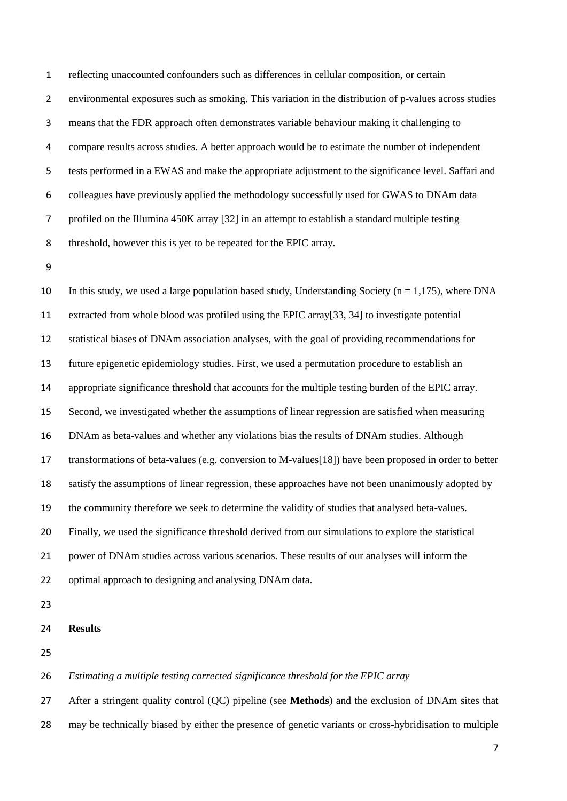reflecting unaccounted confounders such as differences in cellular composition, or certain environmental exposures such as smoking. This variation in the distribution of p-values across studies means that the FDR approach often demonstrates variable behaviour making it challenging to compare results across studies. A better approach would be to estimate the number of independent tests performed in a EWAS and make the appropriate adjustment to the significance level. Saffari and colleagues have previously applied the methodology successfully used for GWAS to DNAm data profiled on the Illumina 450K array [32] in an attempt to establish a standard multiple testing threshold, however this is yet to be repeated for the EPIC array.

10 In this study, we used a large population based study, Understanding Society ( $n = 1.175$ ), where DNA extracted from whole blood was profiled using the EPIC array[33, 34] to investigate potential statistical biases of DNAm association analyses, with the goal of providing recommendations for future epigenetic epidemiology studies. First, we used a permutation procedure to establish an appropriate significance threshold that accounts for the multiple testing burden of the EPIC array. Second, we investigated whether the assumptions of linear regression are satisfied when measuring DNAm as beta-values and whether any violations bias the results of DNAm studies. Although transformations of beta-values (e.g. conversion to M-values[18]) have been proposed in order to better satisfy the assumptions of linear regression, these approaches have not been unanimously adopted by the community therefore we seek to determine the validity of studies that analysed beta-values. Finally, we used the significance threshold derived from our simulations to explore the statistical power of DNAm studies across various scenarios. These results of our analyses will inform the optimal approach to designing and analysing DNAm data.

**Results**

*Estimating a multiple testing corrected significance threshold for the EPIC array*

 After a stringent quality control (QC) pipeline (see **Methods**) and the exclusion of DNAm sites that may be technically biased by either the presence of genetic variants or cross-hybridisation to multiple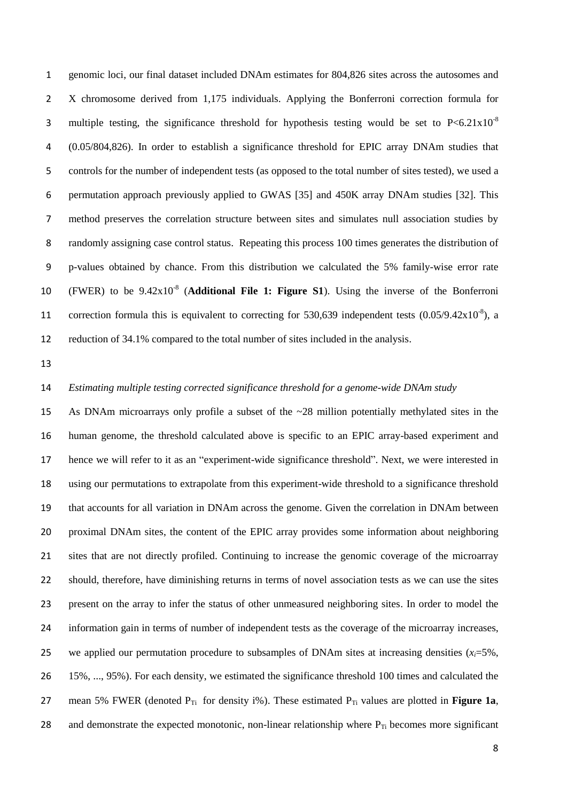genomic loci, our final dataset included DNAm estimates for 804,826 sites across the autosomes and X chromosome derived from 1,175 individuals. Applying the Bonferroni correction formula for 3 multiple testing, the significance threshold for hypothesis testing would be set to  $P \le 6.21 \times 10^{-8}$  (0.05/804,826). In order to establish a significance threshold for EPIC array DNAm studies that controls for the number of independent tests (as opposed to the total number of sites tested), we used a permutation approach previously applied to GWAS [35] and 450K array DNAm studies [32]. This method preserves the correlation structure between sites and simulates null association studies by randomly assigning case control status. Repeating this process 100 times generates the distribution of p-values obtained by chance. From this distribution we calculated the 5% family-wise error rate 10 (FWER) to be  $9.42 \times 10^{-8}$  (**Additional File 1: Figure S1**). Using the inverse of the Bonferroni 11 correction formula this is equivalent to correcting for 530,639 independent tests  $(0.05/9.42 \times 10^{-8})$ , a reduction of 34.1% compared to the total number of sites included in the analysis.

#### *Estimating multiple testing corrected significance threshold for a genome-wide DNAm study*

 As DNAm microarrays only profile a subset of the ~28 million potentially methylated sites in the human genome, the threshold calculated above is specific to an EPIC array-based experiment and hence we will refer to it as an "experiment-wide significance threshold". Next, we were interested in using our permutations to extrapolate from this experiment-wide threshold to a significance threshold that accounts for all variation in DNAm across the genome. Given the correlation in DNAm between proximal DNAm sites, the content of the EPIC array provides some information about neighboring sites that are not directly profiled. Continuing to increase the genomic coverage of the microarray should, therefore, have diminishing returns in terms of novel association tests as we can use the sites present on the array to infer the status of other unmeasured neighboring sites. In order to model the information gain in terms of number of independent tests as the coverage of the microarray increases, 25 we applied our permutation procedure to subsamples of DNAm sites at increasing densities  $(x_i=5\%$ , 15%, ..., 95%). For each density, we estimated the significance threshold 100 times and calculated the 27 mean 5% FWER (denoted  $P_{Ti}$  for density i%). These estimated  $P_{Ti}$  values are plotted in **Figure 1a**, 28 and demonstrate the expected monotonic, non-linear relationship where  $P_{Ti}$  becomes more significant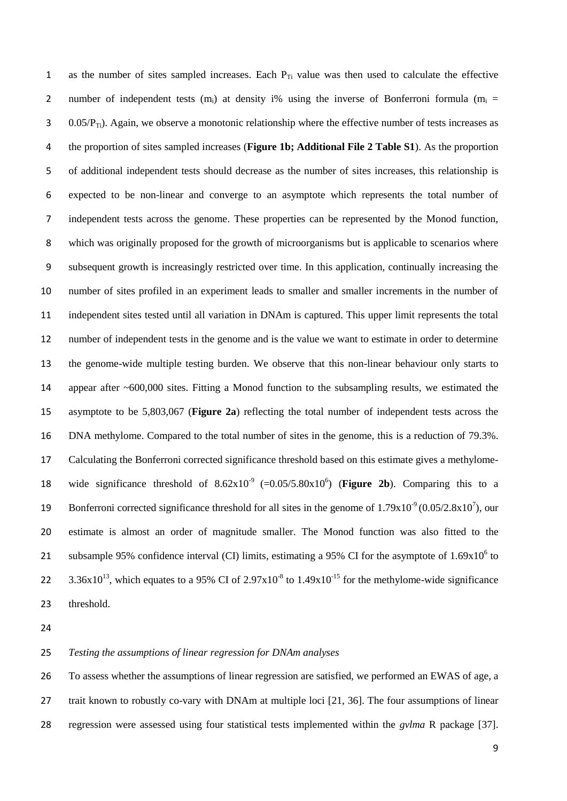1 as the number of sites sampled increases. Each  $P_{Ti}$  value was then used to calculate the effective 2 number of independent tests  $(m_i)$  at density i% using the inverse of Bonferroni formula  $(m_i =$  0.05/P<sub>Ti</sub>). Again, we observe a monotonic relationship where the effective number of tests increases as the proportion of sites sampled increases (**Figure 1b; Additional File 2 Table S1**). As the proportion of additional independent tests should decrease as the number of sites increases, this relationship is expected to be non-linear and converge to an asymptote which represents the total number of independent tests across the genome. These properties can be represented by the Monod function, which was originally proposed for the growth of microorganisms but is applicable to scenarios where subsequent growth is increasingly restricted over time. In this application, continually increasing the number of sites profiled in an experiment leads to smaller and smaller increments in the number of independent sites tested until all variation in DNAm is captured. This upper limit represents the total number of independent tests in the genome and is the value we want to estimate in order to determine the genome-wide multiple testing burden. We observe that this non-linear behaviour only starts to appear after ~600,000 sites. Fitting a Monod function to the subsampling results, we estimated the asymptote to be 5,803,067 (**Figure 2a**) reflecting the total number of independent tests across the DNA methylome. Compared to the total number of sites in the genome, this is a reduction of 79.3%. Calculating the Bonferroni corrected significance threshold based on this estimate gives a methylome-18 wide significance threshold of  $8.62 \times 10^{-9}$  (=0.05/5.80 $\times 10^{6}$ ) (**Figure 2b**). Comparing this to a 19 Bonferroni corrected significance threshold for all sites in the genome of  $1.79 \times 10^{-9} (0.05/2.8 \times 10^{7})$ , our estimate is almost an order of magnitude smaller. The Monod function was also fitted to the 21 subsample 95% confidence interval (CI) limits, estimating a 95% CI for the asymptote of  $1.69x10^6$  to 22 3.36x10<sup>13</sup>, which equates to a 95% CI of 2.97x10<sup>-8</sup> to 1.49x10<sup>-15</sup> for the methylome-wide significance threshold.

*Testing the assumptions of linear regression for DNAm analyses*

 To assess whether the assumptions of linear regression are satisfied, we performed an EWAS of age, a trait known to robustly co-vary with DNAm at multiple loci [21, 36]. The four assumptions of linear regression were assessed using four statistical tests implemented within the *gvlma* R package [37].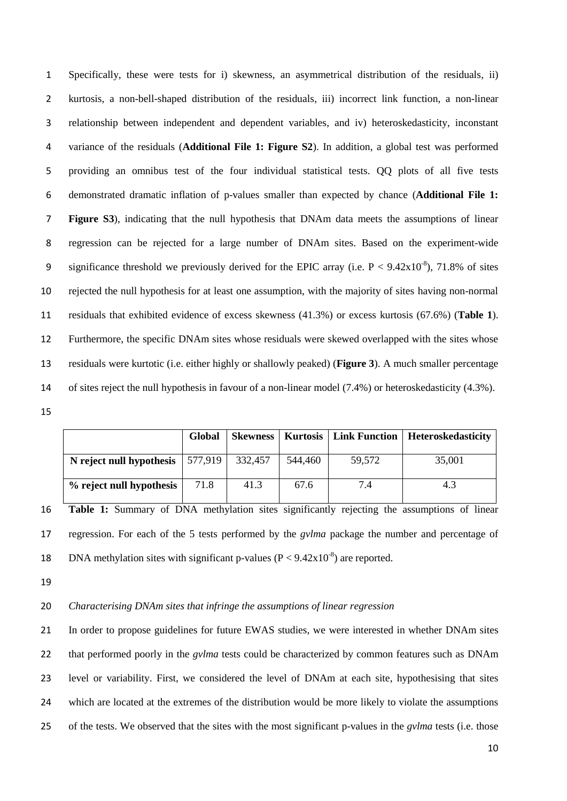Specifically, these were tests for i) skewness, an asymmetrical distribution of the residuals, ii) kurtosis, a non-bell-shaped distribution of the residuals, iii) incorrect link function, a non-linear relationship between independent and dependent variables, and iv) heteroskedasticity, inconstant variance of the residuals (**Additional File 1: Figure S2**). In addition, a global test was performed providing an omnibus test of the four individual statistical tests. QQ plots of all five tests demonstrated dramatic inflation of p-values smaller than expected by chance (**Additional File 1: Figure S3**), indicating that the null hypothesis that DNAm data meets the assumptions of linear regression can be rejected for a large number of DNAm sites. Based on the experiment-wide 9 significance threshold we previously derived for the EPIC array (i.e.  $P < 9.42 \times 10^{-8}$ ), 71.8% of sites rejected the null hypothesis for at least one assumption, with the majority of sites having non-normal residuals that exhibited evidence of excess skewness (41.3%) or excess kurtosis (67.6%) (**Table 1**). Furthermore, the specific DNAm sites whose residuals were skewed overlapped with the sites whose residuals were kurtotic (i.e. either highly or shallowly peaked) (**Figure 3**). A much smaller percentage of sites reject the null hypothesis in favour of a non-linear model (7.4%) or heteroskedasticity (4.3%).

|                                                | Global |         |         |        | <b>Skewness   Kurtosis   Link Function   Heteroskedasticity</b> |
|------------------------------------------------|--------|---------|---------|--------|-----------------------------------------------------------------|
| N reject null hypothesis $\vert 577,919 \vert$ |        | 332,457 | 544,460 | 59,572 | 35,001                                                          |
| % reject null hypothesis                       | 71.8   | 41.3    | 67.6    | 7.4    | 4.3                                                             |

 **Table 1:** Summary of DNA methylation sites significantly rejecting the assumptions of linear regression. For each of the 5 tests performed by the *gvlma* package the number and percentage of 18 DNA methylation sites with significant p-values  $(P < 9.42 \times 10^{-8})$  are reported.

#### *Characterising DNAm sites that infringe the assumptions of linear regression*

 In order to propose guidelines for future EWAS studies, we were interested in whether DNAm sites that performed poorly in the *gvlma* tests could be characterized by common features such as DNAm level or variability. First, we considered the level of DNAm at each site, hypothesising that sites which are located at the extremes of the distribution would be more likely to violate the assumptions of the tests. We observed that the sites with the most significant p-values in the *gvlma* tests (i.e. those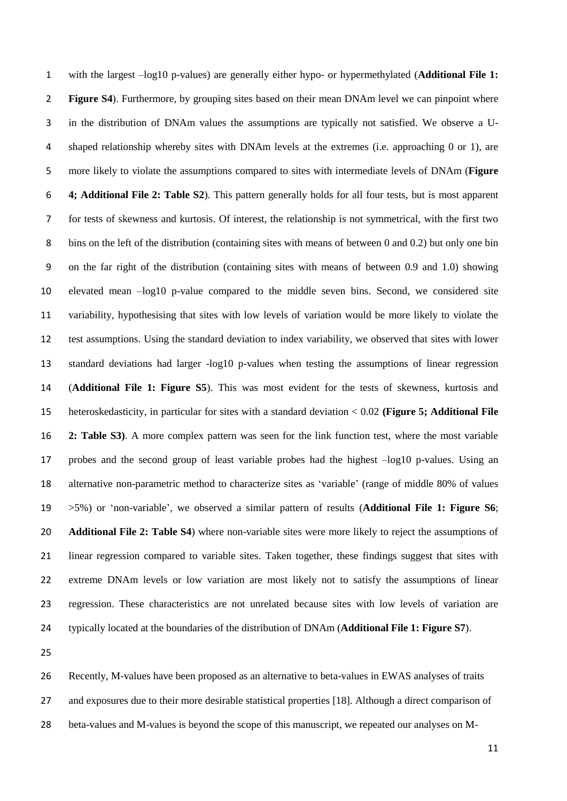with the largest –log10 p-values) are generally either hypo- or hypermethylated (**Additional File 1: Figure S4**). Furthermore, by grouping sites based on their mean DNAm level we can pinpoint where in the distribution of DNAm values the assumptions are typically not satisfied. We observe a U- shaped relationship whereby sites with DNAm levels at the extremes (i.e. approaching 0 or 1), are more likely to violate the assumptions compared to sites with intermediate levels of DNAm (**Figure 4; Additional File 2: Table S2**). This pattern generally holds for all four tests, but is most apparent for tests of skewness and kurtosis. Of interest, the relationship is not symmetrical, with the first two 8 bins on the left of the distribution (containing sites with means of between 0 and 0.2) but only one bin on the far right of the distribution (containing sites with means of between 0.9 and 1.0) showing elevated mean –log10 p-value compared to the middle seven bins. Second, we considered site variability, hypothesising that sites with low levels of variation would be more likely to violate the test assumptions. Using the standard deviation to index variability, we observed that sites with lower standard deviations had larger -log10 p-values when testing the assumptions of linear regression (**Additional File 1: Figure S5**). This was most evident for the tests of skewness, kurtosis and heteroskedasticity, in particular for sites with a standard deviation < 0.02 **(Figure 5; Additional File 2: Table S3)**. A more complex pattern was seen for the link function test, where the most variable probes and the second group of least variable probes had the highest –log10 p-values. Using an alternative non-parametric method to characterize sites as 'variable' (range of middle 80% of values >5%) or 'non-variable', we observed a similar pattern of results (**Additional File 1: Figure S6**; **Additional File 2: Table S4**) where non-variable sites were more likely to reject the assumptions of linear regression compared to variable sites. Taken together, these findings suggest that sites with extreme DNAm levels or low variation are most likely not to satisfy the assumptions of linear regression. These characteristics are not unrelated because sites with low levels of variation are typically located at the boundaries of the distribution of DNAm (**Additional File 1: Figure S7**).

 Recently, M-values have been proposed as an alternative to beta-values in EWAS analyses of traits and exposures due to their more desirable statistical properties [18]. Although a direct comparison of beta-values and M-values is beyond the scope of this manuscript, we repeated our analyses on M-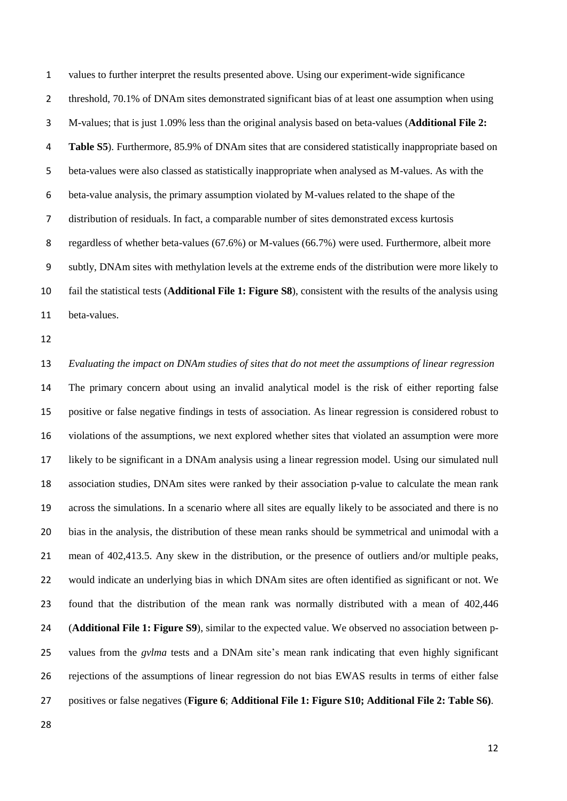values to further interpret the results presented above. Using our experiment-wide significance 2 threshold, 70.1% of DNAm sites demonstrated significant bias of at least one assumption when using M-values; that is just 1.09% less than the original analysis based on beta-values (**Additional File 2: Table S5**). Furthermore, 85.9% of DNAm sites that are considered statistically inappropriate based on beta-values were also classed as statistically inappropriate when analysed as M-values. As with the beta-value analysis, the primary assumption violated by M-values related to the shape of the distribution of residuals. In fact, a comparable number of sites demonstrated excess kurtosis regardless of whether beta-values (67.6%) or M-values (66.7%) were used. Furthermore, albeit more subtly, DNAm sites with methylation levels at the extreme ends of the distribution were more likely to fail the statistical tests (**Additional File 1: Figure S8**), consistent with the results of the analysis using beta-values.

 *Evaluating the impact on DNAm studies of sites that do not meet the assumptions of linear regression*  The primary concern about using an invalid analytical model is the risk of either reporting false positive or false negative findings in tests of association. As linear regression is considered robust to violations of the assumptions, we next explored whether sites that violated an assumption were more likely to be significant in a DNAm analysis using a linear regression model. Using our simulated null association studies, DNAm sites were ranked by their association p-value to calculate the mean rank across the simulations. In a scenario where all sites are equally likely to be associated and there is no bias in the analysis, the distribution of these mean ranks should be symmetrical and unimodal with a mean of 402,413.5. Any skew in the distribution, or the presence of outliers and/or multiple peaks, would indicate an underlying bias in which DNAm sites are often identified as significant or not. We found that the distribution of the mean rank was normally distributed with a mean of 402,446 (**Additional File 1: Figure S9**), similar to the expected value. We observed no association between p- values from the *gvlma* tests and a DNAm site's mean rank indicating that even highly significant rejections of the assumptions of linear regression do not bias EWAS results in terms of either false positives or false negatives (**Figure 6**; **Additional File 1: Figure S10; Additional File 2: Table S6)**.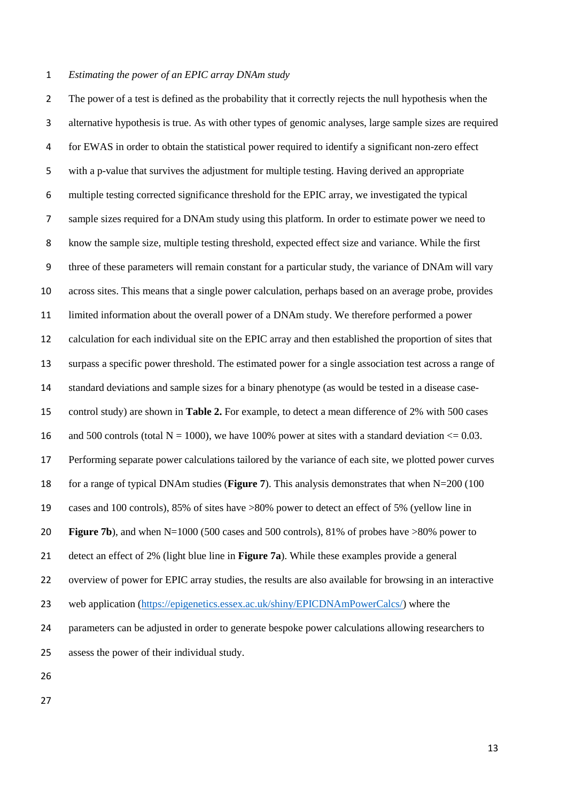#### *Estimating the power of an EPIC array DNAm study*

 The power of a test is defined as the probability that it correctly rejects the null hypothesis when the alternative hypothesis is true. As with other types of genomic analyses, large sample sizes are required for EWAS in order to obtain the statistical power required to identify a significant non-zero effect with a p-value that survives the adjustment for multiple testing. Having derived an appropriate multiple testing corrected significance threshold for the EPIC array, we investigated the typical sample sizes required for a DNAm study using this platform. In order to estimate power we need to know the sample size, multiple testing threshold, expected effect size and variance. While the first three of these parameters will remain constant for a particular study, the variance of DNAm will vary across sites. This means that a single power calculation, perhaps based on an average probe, provides limited information about the overall power of a DNAm study. We therefore performed a power calculation for each individual site on the EPIC array and then established the proportion of sites that surpass a specific power threshold. The estimated power for a single association test across a range of standard deviations and sample sizes for a binary phenotype (as would be tested in a disease case- control study) are shown in **Table 2.** For example, to detect a mean difference of 2% with 500 cases 16 and 500 controls (total  $N = 1000$ ), we have 100% power at sites with a standard deviation  $\le 0.03$ . Performing separate power calculations tailored by the variance of each site, we plotted power curves for a range of typical DNAm studies (**Figure 7**). This analysis demonstrates that when N=200 (100 cases and 100 controls), 85% of sites have >80% power to detect an effect of 5% (yellow line in **Figure 7b**), and when N=1000 (500 cases and 500 controls), 81% of probes have >80% power to detect an effect of 2% (light blue line in **Figure 7a**). While these examples provide a general overview of power for EPIC array studies, the results are also available for browsing in an interactive 23 web application [\(https://epigenetics.essex.ac.uk/shiny/EPICDNAmPowerCalcs/\)](https://epigenetics.essex.ac.uk/shiny/EPICDNAmPowerCalcs/) where the parameters can be adjusted in order to generate bespoke power calculations allowing researchers to assess the power of their individual study.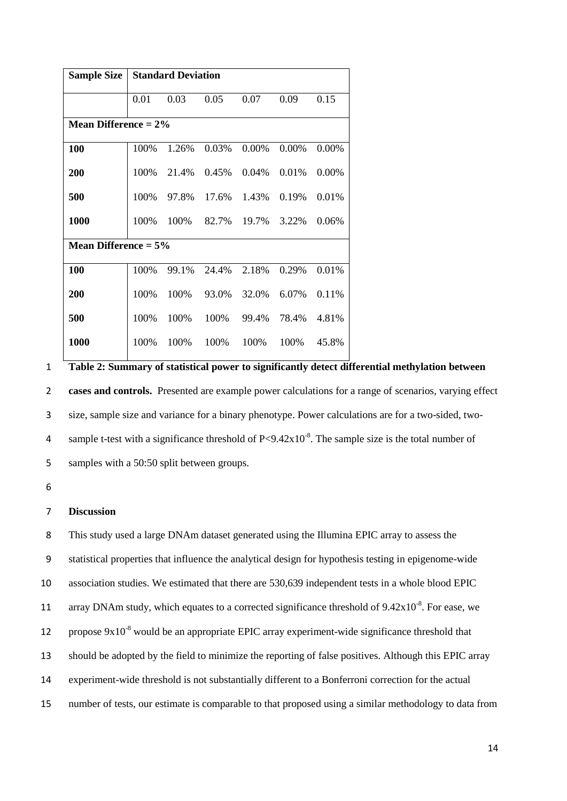| <b>Sample Size</b>                        | <b>Standard Deviation</b> |       |       |          |       |          |
|-------------------------------------------|---------------------------|-------|-------|----------|-------|----------|
|                                           | 0.01                      | 0.03  | 0.05  | 0.07     | 0.09  | 0.15     |
| <b>Mean Difference = <math>2\%</math></b> |                           |       |       |          |       |          |
| 100                                       | 100%                      | 1.26% | 0.03% | $0.00\%$ | 0.00% | 0.00%    |
| 200                                       | 100%                      | 21.4% | 0.45% | $0.04\%$ | 0.01% | $0.00\%$ |
| 500                                       | 100%                      | 97.8% | 17.6% | 1.43%    | 0.19% | 0.01%    |
| 1000                                      | 100\%                     | 100\% | 82.7% | 19.7%    | 3.22% | 0.06%    |
| <b>Mean Difference = <math>5\%</math></b> |                           |       |       |          |       |          |
| 100                                       | 100%                      | 99.1% | 24.4% | 2.18%    | 0.29% | 0.01%    |
| 200                                       | 100\%                     | 100\% | 93.0% | 32.0%    | 6.07% | $0.11\%$ |
| 500                                       | 100%                      | 100%  | 100%  | 99.4%    | 78.4% | 4.81%    |
| 1000                                      | 100%                      | 100%  | 100%  | 100%     | 100%  | 45.8%    |

**Table 2: Summary of statistical power to significantly detect differential methylation between** 

 **cases and controls.** Presented are example power calculations for a range of scenarios, varying effect size, sample size and variance for a binary phenotype. Power calculations are for a two-sided, two-4 sample t-test with a significance threshold of  $P < 9.42 \times 10^{-8}$ . The sample size is the total number of samples with a 50:50 split between groups.

### **Discussion**

 This study used a large DNAm dataset generated using the Illumina EPIC array to assess the statistical properties that influence the analytical design for hypothesis testing in epigenome-wide association studies. We estimated that there are 530,639 independent tests in a whole blood EPIC 11 array DNAm study, which equates to a corrected significance threshold of  $9.42 \times 10^{-8}$ . For ease, we 12 propose  $9x10^{-8}$  would be an appropriate EPIC array experiment-wide significance threshold that should be adopted by the field to minimize the reporting of false positives. Although this EPIC array experiment-wide threshold is not substantially different to a Bonferroni correction for the actual number of tests, our estimate is comparable to that proposed using a similar methodology to data from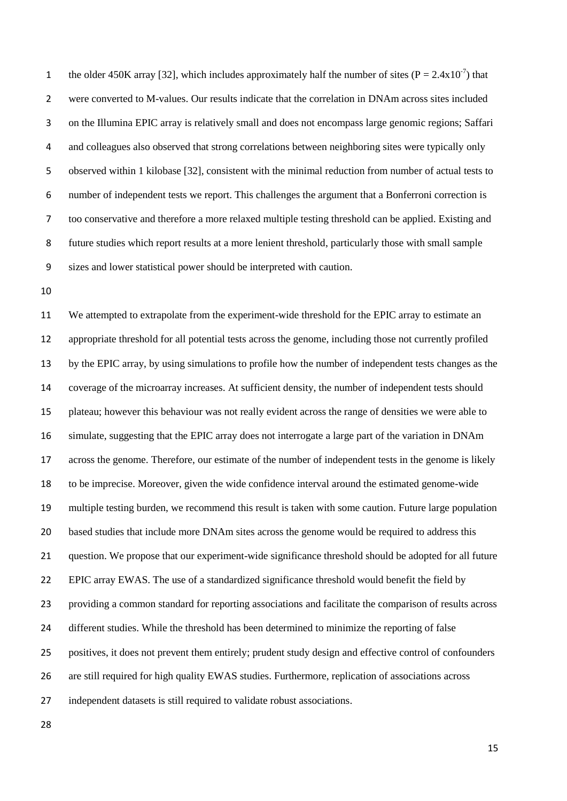1 the older 450K array [32], which includes approximately half the number of sites  $(P = 2.4 \times 10^{-7})$  that were converted to M-values. Our results indicate that the correlation in DNAm across sites included on the Illumina EPIC array is relatively small and does not encompass large genomic regions; Saffari and colleagues also observed that strong correlations between neighboring sites were typically only observed within 1 kilobase [32], consistent with the minimal reduction from number of actual tests to number of independent tests we report. This challenges the argument that a Bonferroni correction is too conservative and therefore a more relaxed multiple testing threshold can be applied. Existing and future studies which report results at a more lenient threshold, particularly those with small sample sizes and lower statistical power should be interpreted with caution.

 We attempted to extrapolate from the experiment-wide threshold for the EPIC array to estimate an appropriate threshold for all potential tests across the genome, including those not currently profiled by the EPIC array, by using simulations to profile how the number of independent tests changes as the coverage of the microarray increases. At sufficient density, the number of independent tests should plateau; however this behaviour was not really evident across the range of densities we were able to simulate, suggesting that the EPIC array does not interrogate a large part of the variation in DNAm across the genome. Therefore, our estimate of the number of independent tests in the genome is likely to be imprecise. Moreover, given the wide confidence interval around the estimated genome-wide multiple testing burden, we recommend this result is taken with some caution. Future large population based studies that include more DNAm sites across the genome would be required to address this question. We propose that our experiment-wide significance threshold should be adopted for all future EPIC array EWAS. The use of a standardized significance threshold would benefit the field by providing a common standard for reporting associations and facilitate the comparison of results across different studies. While the threshold has been determined to minimize the reporting of false positives, it does not prevent them entirely; prudent study design and effective control of confounders are still required for high quality EWAS studies. Furthermore, replication of associations across independent datasets is still required to validate robust associations.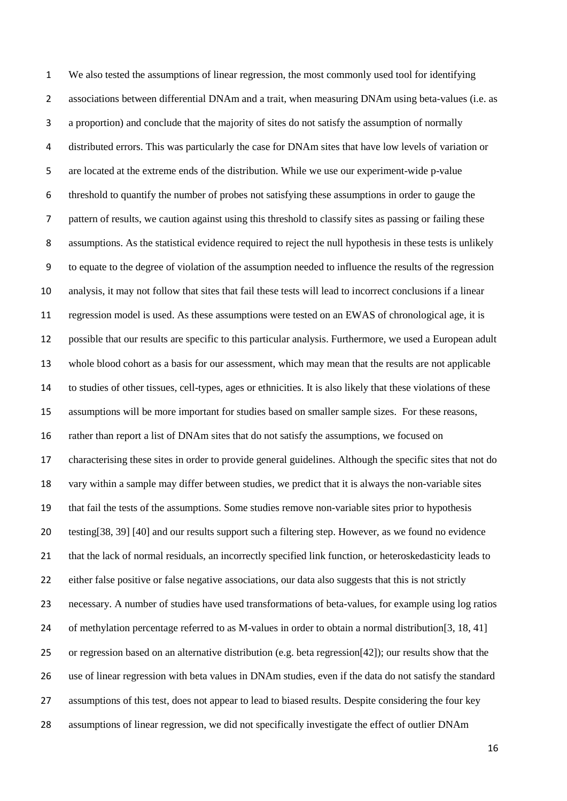We also tested the assumptions of linear regression, the most commonly used tool for identifying associations between differential DNAm and a trait, when measuring DNAm using beta-values (i.e. as a proportion) and conclude that the majority of sites do not satisfy the assumption of normally distributed errors. This was particularly the case for DNAm sites that have low levels of variation or are located at the extreme ends of the distribution. While we use our experiment-wide p-value threshold to quantify the number of probes not satisfying these assumptions in order to gauge the pattern of results, we caution against using this threshold to classify sites as passing or failing these assumptions. As the statistical evidence required to reject the null hypothesis in these tests is unlikely to equate to the degree of violation of the assumption needed to influence the results of the regression analysis, it may not follow that sites that fail these tests will lead to incorrect conclusions if a linear regression model is used. As these assumptions were tested on an EWAS of chronological age, it is possible that our results are specific to this particular analysis. Furthermore, we used a European adult whole blood cohort as a basis for our assessment, which may mean that the results are not applicable to studies of other tissues, cell-types, ages or ethnicities. It is also likely that these violations of these assumptions will be more important for studies based on smaller sample sizes. For these reasons, rather than report a list of DNAm sites that do not satisfy the assumptions, we focused on characterising these sites in order to provide general guidelines. Although the specific sites that not do vary within a sample may differ between studies, we predict that it is always the non-variable sites that fail the tests of the assumptions. Some studies remove non-variable sites prior to hypothesis testing[38, 39] [40] and our results support such a filtering step. However, as we found no evidence that the lack of normal residuals, an incorrectly specified link function, or heteroskedasticity leads to either false positive or false negative associations, our data also suggests that this is not strictly necessary. A number of studies have used transformations of beta-values, for example using log ratios of methylation percentage referred to as M-values in order to obtain a normal distribution[3, 18, 41] or regression based on an alternative distribution (e.g. beta regression[42]); our results show that the use of linear regression with beta values in DNAm studies, even if the data do not satisfy the standard assumptions of this test, does not appear to lead to biased results. Despite considering the four key assumptions of linear regression, we did not specifically investigate the effect of outlier DNAm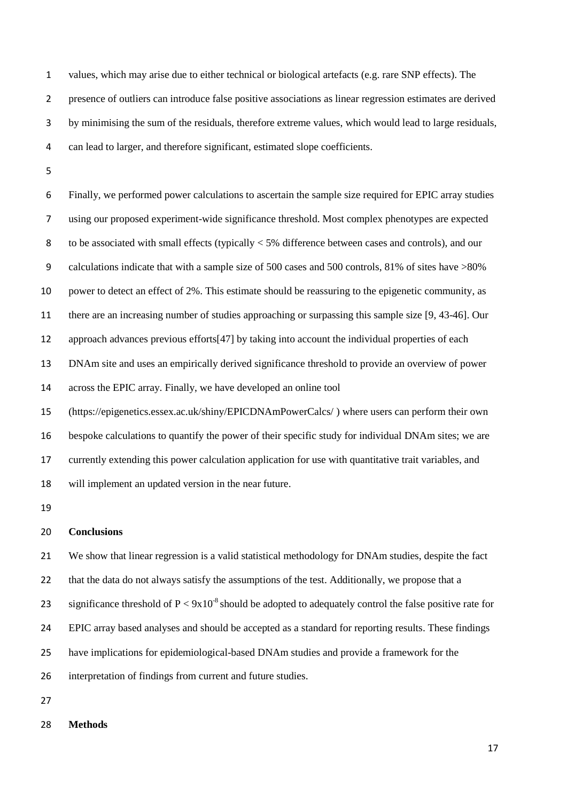values, which may arise due to either technical or biological artefacts (e.g. rare SNP effects). The presence of outliers can introduce false positive associations as linear regression estimates are derived by minimising the sum of the residuals, therefore extreme values, which would lead to large residuals, can lead to larger, and therefore significant, estimated slope coefficients.

 Finally, we performed power calculations to ascertain the sample size required for EPIC array studies using our proposed experiment-wide significance threshold. Most complex phenotypes are expected to be associated with small effects (typically < 5% difference between cases and controls), and our calculations indicate that with a sample size of 500 cases and 500 controls, 81% of sites have >80% power to detect an effect of 2%. This estimate should be reassuring to the epigenetic community, as there are an increasing number of studies approaching or surpassing this sample size [9, 43-46]. Our approach advances previous efforts[47] by taking into account the individual properties of each DNAm site and uses an empirically derived significance threshold to provide an overview of power across the EPIC array. Finally, we have developed an online tool (https://epigenetics.essex.ac.uk/shiny/EPICDNAmPowerCalcs/ ) where users can perform their own bespoke calculations to quantify the power of their specific study for individual DNAm sites; we are currently extending this power calculation application for use with quantitative trait variables, and will implement an updated version in the near future.

#### **Conclusions**

 We show that linear regression is a valid statistical methodology for DNAm studies, despite the fact that the data do not always satisfy the assumptions of the test. Additionally, we propose that a 23 significance threshold of  $P < 9x10^{-8}$  should be adopted to adequately control the false positive rate for EPIC array based analyses and should be accepted as a standard for reporting results. These findings have implications for epidemiological-based DNAm studies and provide a framework for the interpretation of findings from current and future studies.

### **Methods**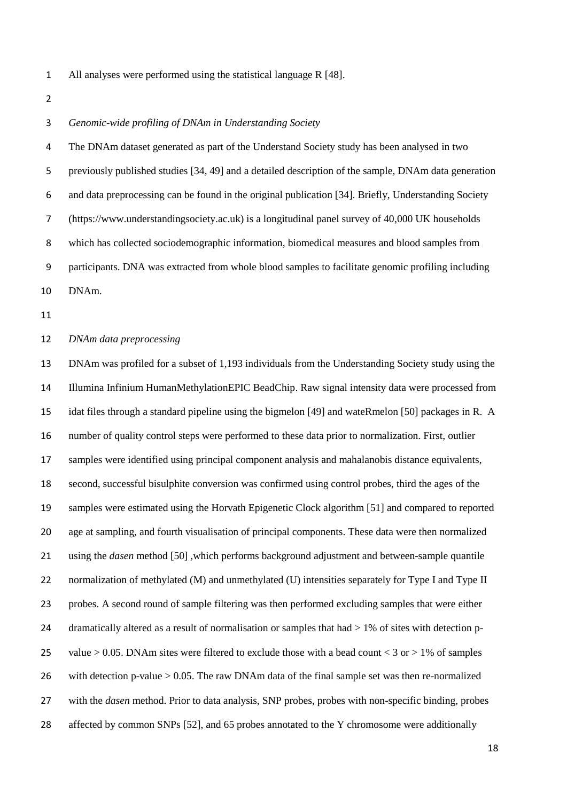- All analyses were performed using the statistical language R [48].
- 

# *Genomic-wide profiling of DNAm in Understanding Society*

 The DNAm dataset generated as part of the Understand Society study has been analysed in two previously published studies [34, 49] and a detailed description of the sample, DNAm data generation and data preprocessing can be found in the original publication [34]. Briefly, Understanding Society (https://www.understandingsociety.ac.uk) is a longitudinal panel survey of 40,000 UK households which has collected sociodemographic information, biomedical measures and blood samples from participants. DNA was extracted from whole blood samples to facilitate genomic profiling including DNAm.

# *DNAm data preprocessing*

 DNAm was profiled for a subset of 1,193 individuals from the Understanding Society study using the Illumina Infinium HumanMethylationEPIC BeadChip. Raw signal intensity data were processed from idat files through a standard pipeline using the bigmelon [49] and wateRmelon [50] packages in R. A number of quality control steps were performed to these data prior to normalization. First, outlier samples were identified using principal component analysis and mahalanobis distance equivalents, second, successful bisulphite conversion was confirmed using control probes, third the ages of the samples were estimated using the Horvath Epigenetic Clock algorithm [51] and compared to reported age at sampling, and fourth visualisation of principal components. These data were then normalized using the *dasen* method [50] ,which performs background adjustment and between-sample quantile 22 normalization of methylated (M) and unmethylated (U) intensities separately for Type I and Type II probes. A second round of sample filtering was then performed excluding samples that were either 24 dramatically altered as a result of normalisation or samples that had  $> 1\%$  of sites with detection p-25 value  $> 0.05$ . DNAm sites were filtered to exclude those with a bead count  $< 3$  or  $> 1\%$  of samples 26 with detection p-value > 0.05. The raw DNAm data of the final sample set was then re-normalized with the *dasen* method. Prior to data analysis, SNP probes, probes with non-specific binding, probes 28 affected by common SNPs [52], and 65 probes annotated to the Y chromosome were additionally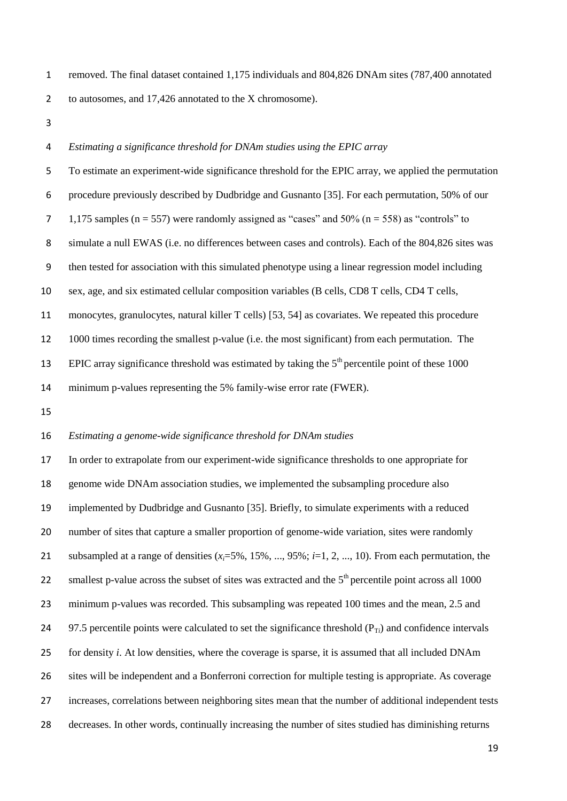removed. The final dataset contained 1,175 individuals and 804,826 DNAm sites (787,400 annotated to autosomes, and 17,426 annotated to the X chromosome).

#### *Estimating a significance threshold for DNAm studies using the EPIC array*

 To estimate an experiment-wide significance threshold for the EPIC array, we applied the permutation procedure previously described by Dudbridge and Gusnanto [35]. For each permutation, 50% of our 7 1,175 samples ( $n = 557$ ) were randomly assigned as "cases" and 50% ( $n = 558$ ) as "controls" to simulate a null EWAS (i.e. no differences between cases and controls). Each of the 804,826 sites was then tested for association with this simulated phenotype using a linear regression model including sex, age, and six estimated cellular composition variables (B cells, CD8 T cells, CD4 T cells, monocytes, granulocytes, natural killer T cells) [53, 54] as covariates. We repeated this procedure 1000 times recording the smallest p-value (i.e. the most significant) from each permutation. The EPIC array significance threshold was estimated by taking the  $5<sup>th</sup>$  percentile point of these 1000 minimum p-values representing the 5% family-wise error rate (FWER).

## *Estimating a genome-wide significance threshold for DNAm studies*

 In order to extrapolate from our experiment-wide significance thresholds to one appropriate for genome wide DNAm association studies, we implemented the subsampling procedure also implemented by Dudbridge and Gusnanto [35]. Briefly, to simulate experiments with a reduced number of sites that capture a smaller proportion of genome-wide variation, sites were randomly 21 subsampled at a range of densities  $(x_i=5\%, 15\%, ..., 95\%; i=1, 2, ..., 10)$ . From each permutation, the 22 smallest p-value across the subset of sites was extracted and the  $5<sup>th</sup>$  percentile point across all 1000 23 minimum p-values was recorded. This subsampling was repeated 100 times and the mean, 2.5 and 24 97.5 percentile points were calculated to set the significance threshold  $(P_T_i)$  and confidence intervals for density *i*. At low densities, where the coverage is sparse, it is assumed that all included DNAm sites will be independent and a Bonferroni correction for multiple testing is appropriate. As coverage increases, correlations between neighboring sites mean that the number of additional independent tests decreases. In other words, continually increasing the number of sites studied has diminishing returns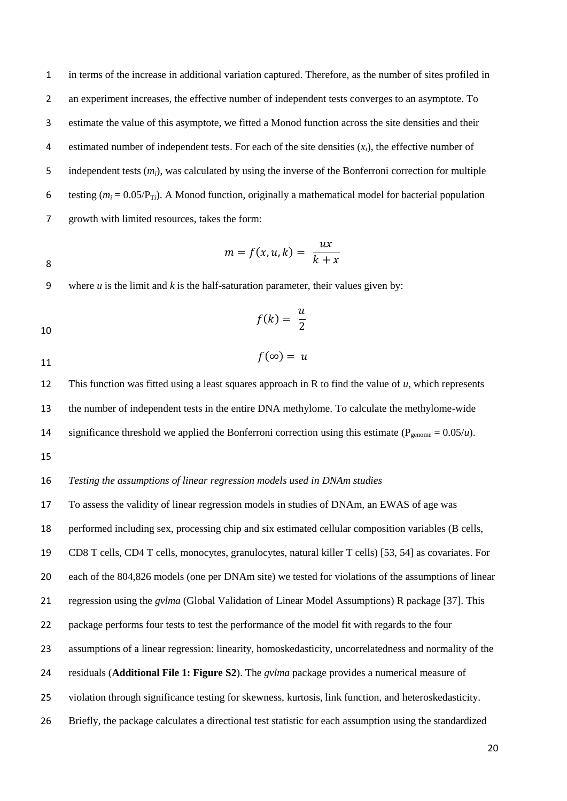in terms of the increase in additional variation captured. Therefore, as the number of sites profiled in an experiment increases, the effective number of independent tests converges to an asymptote. To estimate the value of this asymptote, we fitted a Monod function across the site densities and their 4 estimated number of independent tests. For each of the site densities  $(x_i)$ , the effective number of independent tests (*mi*), was calculated by using the inverse of the Bonferroni correction for multiple 6 testing  $(m_i = 0.05/P_{Ti})$ . A Monod function, originally a mathematical model for bacterial population growth with limited resources, takes the form:

$$
m = f(x, u, k) = \frac{ux}{k + x}
$$

where *u* is the limit and *k* is the half-saturation parameter, their values given by:

$$
f(k) = \frac{u}{2}
$$

$$
f(\infty) = u
$$

 This function was fitted using a least squares approach in R to find the value of *u*, which represents the number of independent tests in the entire DNA methylome. To calculate the methylome-wide 14 significance threshold we applied the Bonferroni correction using this estimate ( $P_{\text{genome}} = 0.05/u$ ). 

#### *Testing the assumptions of linear regression models used in DNAm studies*

 To assess the validity of linear regression models in studies of DNAm, an EWAS of age was performed including sex, processing chip and six estimated cellular composition variables (B cells, CD8 T cells, CD4 T cells, monocytes, granulocytes, natural killer T cells) [53, 54] as covariates. For each of the 804,826 models (one per DNAm site) we tested for violations of the assumptions of linear regression using the *gvlma* (Global Validation of Linear Model Assumptions) R package [37]. This package performs four tests to test the performance of the model fit with regards to the four assumptions of a linear regression: linearity, homoskedasticity, uncorrelatedness and normality of the residuals (**Additional File 1: Figure S2**). The *gvlma* package provides a numerical measure of violation through significance testing for skewness, kurtosis, link function, and heteroskedasticity. Briefly, the package calculates a directional test statistic for each assumption using the standardized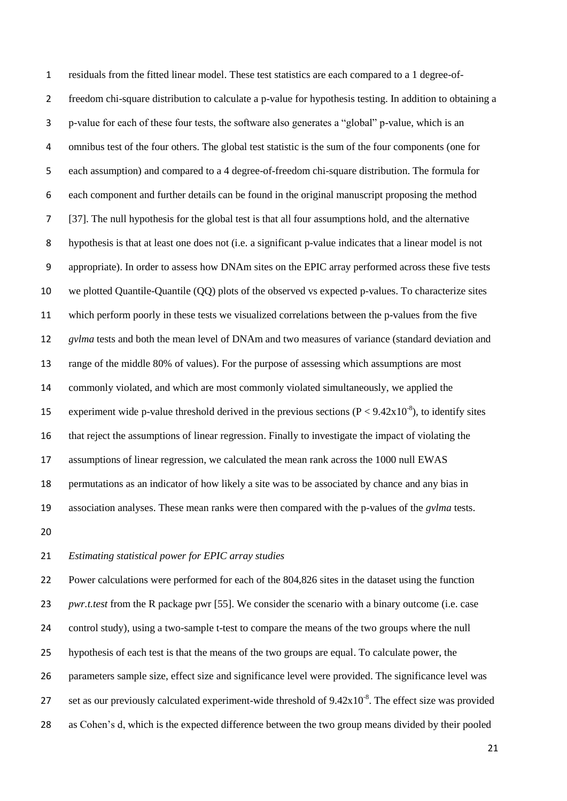residuals from the fitted linear model. These test statistics are each compared to a 1 degree-of- freedom chi-square distribution to calculate a p-value for hypothesis testing. In addition to obtaining a p-value for each of these four tests, the software also generates a "global" p-value, which is an omnibus test of the four others. The global test statistic is the sum of the four components (one for each assumption) and compared to a 4 degree-of-freedom chi-square distribution. The formula for each component and further details can be found in the original manuscript proposing the method [37]. The null hypothesis for the global test is that all four assumptions hold, and the alternative hypothesis is that at least one does not (i.e. a significant p-value indicates that a linear model is not appropriate). In order to assess how DNAm sites on the EPIC array performed across these five tests we plotted Quantile-Quantile (QQ) plots of the observed vs expected p-values. To characterize sites which perform poorly in these tests we visualized correlations between the p-values from the five *gylma* tests and both the mean level of DNAm and two measures of variance (standard deviation and range of the middle 80% of values). For the purpose of assessing which assumptions are most commonly violated, and which are most commonly violated simultaneously, we applied the 15 experiment wide p-value threshold derived in the previous sections  $(P < 9.42 \times 10^{-8})$ , to identify sites that reject the assumptions of linear regression. Finally to investigate the impact of violating the assumptions of linear regression, we calculated the mean rank across the 1000 null EWAS permutations as an indicator of how likely a site was to be associated by chance and any bias in association analyses. These mean ranks were then compared with the p-values of the *gvlma* tests. 

#### *Estimating statistical power for EPIC array studies*

 Power calculations were performed for each of the 804,826 sites in the dataset using the function *pwr.t.test* from the R package pwr [55]. We consider the scenario with a binary outcome (i.e. case control study), using a two-sample t-test to compare the means of the two groups where the null hypothesis of each test is that the means of the two groups are equal. To calculate power, the parameters sample size, effect size and significance level were provided. The significance level was 27 set as our previously calculated experiment-wide threshold of  $9.42 \times 10^{-8}$ . The effect size was provided as Cohen's d, which is the expected difference between the two group means divided by their pooled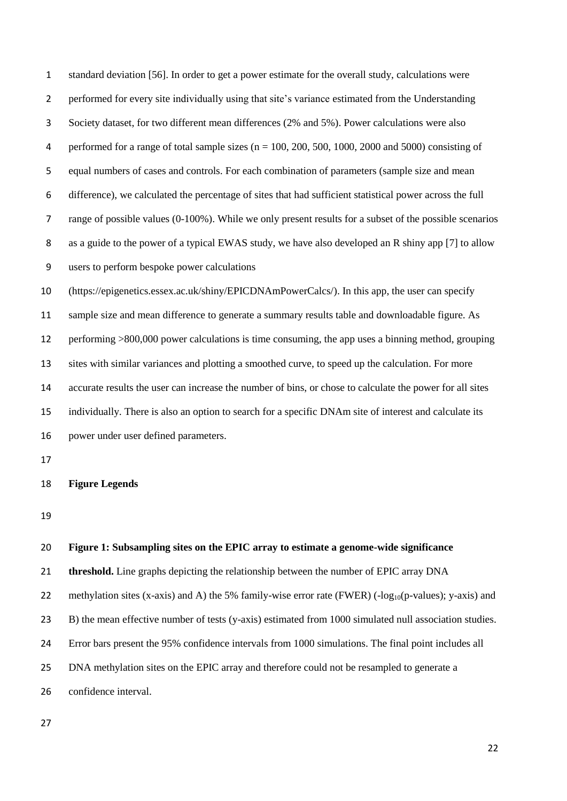standard deviation [56]. In order to get a power estimate for the overall study, calculations were performed for every site individually using that site's variance estimated from the Understanding Society dataset, for two different mean differences (2% and 5%). Power calculations were also 4 performed for a range of total sample sizes  $(n = 100, 200, 500, 1000, 2000, 500)$  consisting of equal numbers of cases and controls. For each combination of parameters (sample size and mean difference), we calculated the percentage of sites that had sufficient statistical power across the full range of possible values (0-100%). While we only present results for a subset of the possible scenarios as a guide to the power of a typical EWAS study, we have also developed an R shiny app [7] to allow users to perform bespoke power calculations (https://epigenetics.essex.ac.uk/shiny/EPICDNAmPowerCalcs/). In this app, the user can specify sample size and mean difference to generate a summary results table and downloadable figure. As performing >800,000 power calculations is time consuming, the app uses a binning method, grouping sites with similar variances and plotting a smoothed curve, to speed up the calculation. For more accurate results the user can increase the number of bins, or chose to calculate the power for all sites individually. There is also an option to search for a specific DNAm site of interest and calculate its power under user defined parameters. **Figure Legends Figure 1: Subsampling sites on the EPIC array to estimate a genome-wide significance threshold.** Line graphs depicting the relationship between the number of EPIC array DNA 22 methylation sites (x-axis) and A) the 5% family-wise error rate (FWER) ( $-\log_{10}(p-\text{values})$ ; y-axis) and 23 B) the mean effective number of tests (y-axis) estimated from 1000 simulated null association studies. Error bars present the 95% confidence intervals from 1000 simulations. The final point includes all DNA methylation sites on the EPIC array and therefore could not be resampled to generate a confidence interval.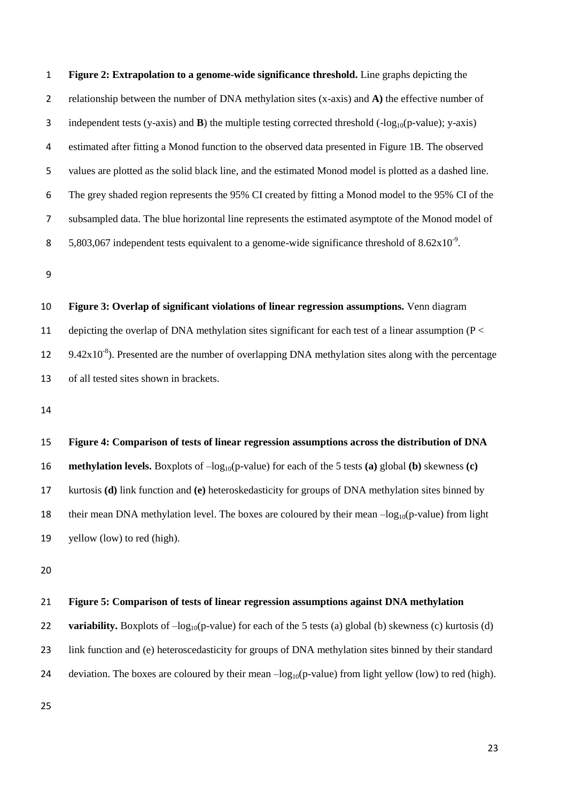**Figure 2: Extrapolation to a genome-wide significance threshold.** Line graphs depicting the relationship between the number of DNA methylation sites (x-axis) and **A)** the effective number of 3 independent tests (y-axis) and **B**) the multiple testing corrected threshold ( $-\log_{10}(p\text{-value})$ ; y-axis) estimated after fitting a Monod function to the observed data presented in Figure 1B. The observed values are plotted as the solid black line, and the estimated Monod model is plotted as a dashed line. The grey shaded region represents the 95% CI created by fitting a Monod model to the 95% CI of the subsampled data. The blue horizontal line represents the estimated asymptote of the Monod model of 8 5,803,067 independent tests equivalent to a genome-wide significance threshold of  $8.62 \times 10^{-9}$ .

 **Figure 3: Overlap of significant violations of linear regression assumptions.** Venn diagram 11 depicting the overlap of DNA methylation sites significant for each test of a linear assumption ( $P <$  $9.42x10^{-8}$ ). Presented are the number of overlapping DNA methylation sites along with the percentage of all tested sites shown in brackets.

 **Figure 4: Comparison of tests of linear regression assumptions across the distribution of DNA methylation levels.** Boxplots of  $-\log_{10}(p\text{-value})$  for each of the 5 tests (a) global (b) skewness (c) kurtosis **(d)** link function and **(e)** heteroskedasticity for groups of DNA methylation sites binned by 18 their mean DNA methylation level. The boxes are coloured by their mean  $-\log_{10}(p\text{-value})$  from light yellow (low) to red (high).

# **Figure 5: Comparison of tests of linear regression assumptions against DNA methylation**

**z2 variability.** Boxplots of  $-\log_{10}(p\text{-value})$  for each of the 5 tests (a) global (b) skewness (c) kurtosis (d) link function and (e) heteroscedasticity for groups of DNA methylation sites binned by their standard 24 deviation. The boxes are coloured by their mean  $-\log_{10}(p$ -value) from light yellow (low) to red (high).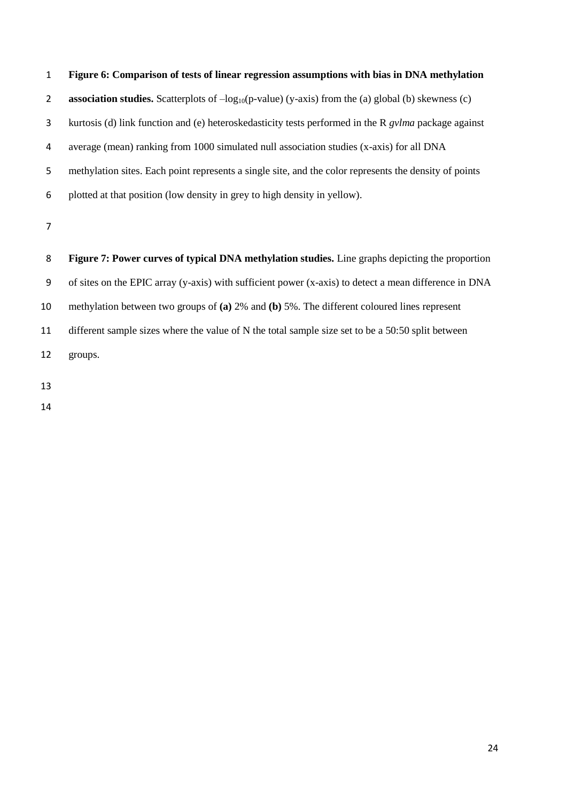| 1              | Figure 6: Comparison of tests of linear regression assumptions with bias in DNA methylation                            |
|----------------|------------------------------------------------------------------------------------------------------------------------|
| $\overline{2}$ | <b>association studies.</b> Scatterplots of $-\log_{10}(p\text{-value})$ (y-axis) from the (a) global (b) skewness (c) |
| 3              | kurtosis (d) link function and (e) heteroskedasticity tests performed in the R <i>gylma</i> package against            |
| 4              | average (mean) ranking from 1000 simulated null association studies (x-axis) for all DNA                               |
| 5              | methylation sites. Each point represents a single site, and the color represents the density of points                 |
| 6              | plotted at that position (low density in grey to high density in yellow).                                              |
| 7              |                                                                                                                        |
|                |                                                                                                                        |

| 8  | Figure 7: Power curves of typical DNA methylation studies. Line graphs depicting the proportion       |
|----|-------------------------------------------------------------------------------------------------------|
| 9  | of sites on the EPIC array (y-axis) with sufficient power (x-axis) to detect a mean difference in DNA |
| 10 | methylation between two groups of (a) $2\%$ and (b) $5\%$ . The different coloured lines represent    |
| 11 | different sample sizes where the value of N the total sample size set to be a 50:50 split between     |
| 12 | groups.                                                                                               |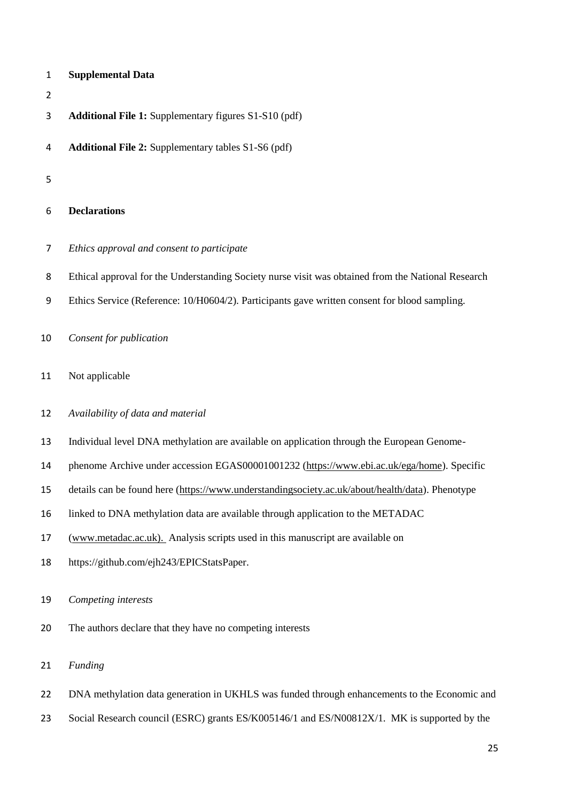| $\mathbf 1$    | <b>Supplemental Data</b>                                                                           |
|----------------|----------------------------------------------------------------------------------------------------|
| $\overline{2}$ |                                                                                                    |
| 3              | <b>Additional File 1:</b> Supplementary figures S1-S10 (pdf)                                       |
| 4              | <b>Additional File 2:</b> Supplementary tables S1-S6 (pdf)                                         |
| 5              |                                                                                                    |
| 6              | <b>Declarations</b>                                                                                |
| $\overline{7}$ | Ethics approval and consent to participate                                                         |
| 8              | Ethical approval for the Understanding Society nurse visit was obtained from the National Research |
| 9              | Ethics Service (Reference: 10/H0604/2). Participants gave written consent for blood sampling.      |
| 10             | Consent for publication                                                                            |
| 11             | Not applicable                                                                                     |
| 12             | Availability of data and material                                                                  |
| 13             | Individual level DNA methylation are available on application through the European Genome-         |
| 14             | phenome Archive under accession EGAS00001001232 (https://www.ebi.ac.uk/ega/home). Specific         |
| 15             | details can be found here (https://www.understandingsociety.ac.uk/about/health/data). Phenotype    |
| 16             | linked to DNA methylation data are available through application to the METADAC                    |
| 17             | (www.metadac.ac.uk). Analysis scripts used in this manuscript are available on                     |
| 18             | https://github.com/ejh243/EPICStatsPaper.                                                          |
| 19             | Competing interests                                                                                |
| 20             | The authors declare that they have no competing interests                                          |
| 21             | <b>Funding</b>                                                                                     |
| 22             | DNA methylation data generation in UKHLS was funded through enhancements to the Economic and       |
| 23             | Social Research council (ESRC) grants ES/K005146/1 and ES/N00812X/1. MK is supported by the        |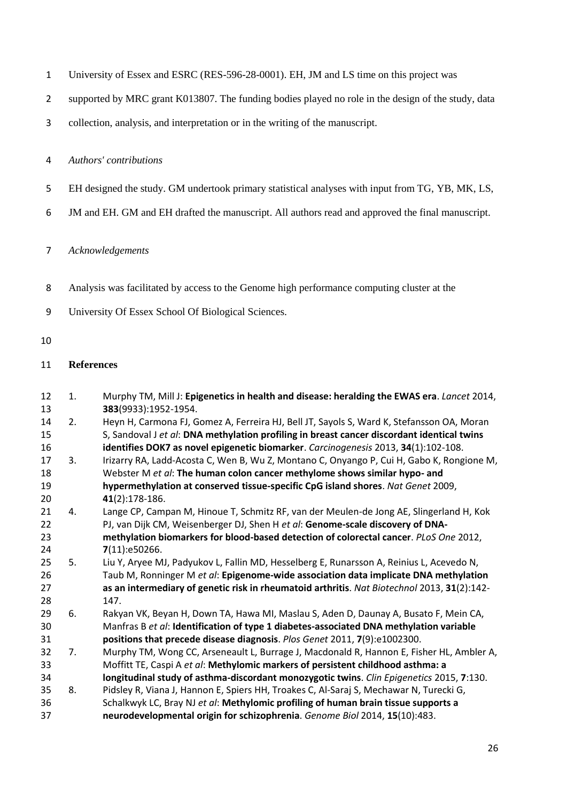| $\mathbf{1}$   |                   | University of Essex and ESRC (RES-596-28-0001). EH, JM and LS time on this project was                                                                                                                                                                                          |
|----------------|-------------------|---------------------------------------------------------------------------------------------------------------------------------------------------------------------------------------------------------------------------------------------------------------------------------|
| 2              |                   | supported by MRC grant K013807. The funding bodies played no role in the design of the study, data                                                                                                                                                                              |
| 3              |                   | collection, analysis, and interpretation or in the writing of the manuscript.                                                                                                                                                                                                   |
| 4              |                   | Authors' contributions                                                                                                                                                                                                                                                          |
| 5              |                   | EH designed the study. GM undertook primary statistical analyses with input from TG, YB, MK, LS,                                                                                                                                                                                |
| 6              |                   | JM and EH. GM and EH drafted the manuscript. All authors read and approved the final manuscript.                                                                                                                                                                                |
| 7              |                   | Acknowledgements                                                                                                                                                                                                                                                                |
| 8              |                   | Analysis was facilitated by access to the Genome high performance computing cluster at the                                                                                                                                                                                      |
| 9              |                   | University Of Essex School Of Biological Sciences.                                                                                                                                                                                                                              |
| 10             |                   |                                                                                                                                                                                                                                                                                 |
| 11             | <b>References</b> |                                                                                                                                                                                                                                                                                 |
| 12<br>13       | 1.                | Murphy TM, Mill J: Epigenetics in health and disease: heralding the EWAS era. Lancet 2014,<br>383(9933):1952-1954.                                                                                                                                                              |
| 14<br>15<br>16 | 2.                | Heyn H, Carmona FJ, Gomez A, Ferreira HJ, Bell JT, Sayols S, Ward K, Stefansson OA, Moran<br>S, Sandoval J et al: DNA methylation profiling in breast cancer discordant identical twins<br>identifies DOK7 as novel epigenetic biomarker. Carcinogenesis 2013, 34(1):102-108.   |
| 17<br>18       | 3.                | Irizarry RA, Ladd-Acosta C, Wen B, Wu Z, Montano C, Onyango P, Cui H, Gabo K, Rongione M,<br>Webster M et al: The human colon cancer methylome shows similar hypo- and                                                                                                          |
| 19<br>20       |                   | hypermethylation at conserved tissue-specific CpG island shores. Nat Genet 2009,<br>$41(2):178-186.$                                                                                                                                                                            |
| 21<br>22<br>23 | 4.                | Lange CP, Campan M, Hinoue T, Schmitz RF, van der Meulen-de Jong AE, Slingerland H, Kok<br>PJ, van Dijk CM, Weisenberger DJ, Shen H et al: Genome-scale discovery of DNA-<br>methylation biomarkers for blood-based detection of colorectal cancer. PLoS One 2012,              |
| 24             |                   | 7(11):e50266.                                                                                                                                                                                                                                                                   |
| 25<br>26<br>27 | 5.                | Liu Y, Aryee MJ, Padyukov L, Fallin MD, Hesselberg E, Runarsson A, Reinius L, Acevedo N,<br>Taub M, Ronninger M et al: Epigenome-wide association data implicate DNA methylation<br>as an intermediary of genetic risk in rheumatoid arthritis. Nat Biotechnol 2013, 31(2):142- |
| 28<br>29<br>30 | 6.                | 147.<br>Rakyan VK, Beyan H, Down TA, Hawa MI, Maslau S, Aden D, Daunay A, Busato F, Mein CA,<br>Manfras B et al: Identification of type 1 diabetes-associated DNA methylation variable                                                                                          |
| 31<br>32<br>33 | 7.                | positions that precede disease diagnosis. Plos Genet 2011, 7(9):e1002300.<br>Murphy TM, Wong CC, Arseneault L, Burrage J, Macdonald R, Hannon E, Fisher HL, Ambler A,<br>Moffitt TE, Caspi A et al: Methylomic markers of persistent childhood asthma: a                        |
| 34             |                   | longitudinal study of asthma-discordant monozygotic twins. Clin Epigenetics 2015, 7:130.                                                                                                                                                                                        |

- 8. Pidsley R, Viana J, Hannon E, Spiers HH, Troakes C, Al-Saraj S, Mechawar N, Turecki G,
- Schalkwyk LC, Bray NJ *et al*: **Methylomic profiling of human brain tissue supports a neurodevelopmental origin for schizophrenia**. *Genome Biol* 2014, **15**(10):483.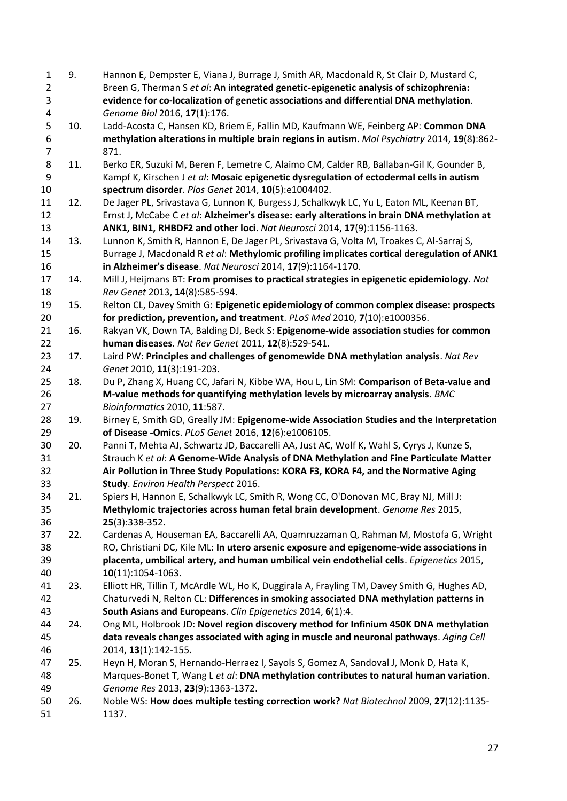| $\mathbf{1}$     | 9.  | Hannon E, Dempster E, Viana J, Burrage J, Smith AR, Macdonald R, St Clair D, Mustard C,      |
|------------------|-----|----------------------------------------------------------------------------------------------|
| $\overline{2}$   |     | Breen G, Therman S et al: An integrated genetic-epigenetic analysis of schizophrenia:        |
| 3                |     | evidence for co-localization of genetic associations and differential DNA methylation.       |
| 4                |     | Genome Biol 2016, 17(1):176.                                                                 |
| 5                | 10. | Ladd-Acosta C, Hansen KD, Briem E, Fallin MD, Kaufmann WE, Feinberg AP: Common DNA           |
| 6                |     | methylation alterations in multiple brain regions in autism. Mol Psychiatry 2014, 19(8):862- |
| $\overline{7}$   |     | 871.                                                                                         |
| 8                | 11. | Berko ER, Suzuki M, Beren F, Lemetre C, Alaimo CM, Calder RB, Ballaban-Gil K, Gounder B,     |
| $\boldsymbol{9}$ |     | Kampf K, Kirschen J et al: Mosaic epigenetic dysregulation of ectodermal cells in autism     |
| 10               |     | spectrum disorder. Plos Genet 2014, 10(5):e1004402.                                          |
| 11               | 12. | De Jager PL, Srivastava G, Lunnon K, Burgess J, Schalkwyk LC, Yu L, Eaton ML, Keenan BT,     |
| 12               |     | Ernst J, McCabe C et al: Alzheimer's disease: early alterations in brain DNA methylation at  |
| 13               |     | ANK1, BIN1, RHBDF2 and other loci. Nat Neurosci 2014, 17(9):1156-1163.                       |
| 14               | 13. | Lunnon K, Smith R, Hannon E, De Jager PL, Srivastava G, Volta M, Troakes C, Al-Sarraj S,     |
| 15               |     | Burrage J, Macdonald R et al: Methylomic profiling implicates cortical deregulation of ANK1  |
| 16               |     | in Alzheimer's disease. Nat Neurosci 2014, 17(9):1164-1170.                                  |
| 17               | 14. | Mill J, Heijmans BT: From promises to practical strategies in epigenetic epidemiology. Nat   |
| 18               |     | Rev Genet 2013, 14(8):585-594.                                                               |
| 19               | 15. | Relton CL, Davey Smith G: Epigenetic epidemiology of common complex disease: prospects       |
| 20               |     | for prediction, prevention, and treatment. PLoS Med 2010, 7(10):e1000356.                    |
| 21               | 16. | Rakyan VK, Down TA, Balding DJ, Beck S: Epigenome-wide association studies for common        |
| 22               |     | human diseases. Nat Rev Genet 2011, 12(8):529-541.                                           |
| 23               | 17. | Laird PW: Principles and challenges of genomewide DNA methylation analysis. Nat Rev          |
| 24               |     | Genet 2010, 11(3):191-203.                                                                   |
| 25               | 18. | Du P, Zhang X, Huang CC, Jafari N, Kibbe WA, Hou L, Lin SM: Comparison of Beta-value and     |
| 26               |     | M-value methods for quantifying methylation levels by microarray analysis. BMC               |
| 27               |     | Bioinformatics 2010, 11:587.                                                                 |
| 28               | 19. | Birney E, Smith GD, Greally JM: Epigenome-wide Association Studies and the Interpretation    |
| 29               |     | of Disease - Omics. PLoS Genet 2016, 12(6):e1006105.                                         |
| 30               | 20. | Panni T, Mehta AJ, Schwartz JD, Baccarelli AA, Just AC, Wolf K, Wahl S, Cyrys J, Kunze S,    |
| 31               |     | Strauch K et al: A Genome-Wide Analysis of DNA Methylation and Fine Particulate Matter       |
| 32               |     | Air Pollution in Three Study Populations: KORA F3, KORA F4, and the Normative Aging          |
| 33               |     | Study. Environ Health Perspect 2016.                                                         |
| 34               | 21. | Spiers H, Hannon E, Schalkwyk LC, Smith R, Wong CC, O'Donovan MC, Bray NJ, Mill J:           |
| 35               |     | Methylomic trajectories across human fetal brain development. Genome Res 2015,               |
| 36               |     | $25(3):338-352.$                                                                             |
| 37               | 22. | Cardenas A, Houseman EA, Baccarelli AA, Quamruzzaman Q, Rahman M, Mostofa G, Wright          |
| 38               |     | RO, Christiani DC, Kile ML: In utero arsenic exposure and epigenome-wide associations in     |
| 39               |     | placenta, umbilical artery, and human umbilical vein endothelial cells. Epigenetics 2015,    |
| 40               |     | $10(11):1054-1063.$                                                                          |
| 41               | 23. | Elliott HR, Tillin T, McArdle WL, Ho K, Duggirala A, Frayling TM, Davey Smith G, Hughes AD,  |
| 42               |     | Chaturvedi N, Relton CL: Differences in smoking associated DNA methylation patterns in       |
| 43               |     | South Asians and Europeans. Clin Epigenetics 2014, 6(1):4.                                   |
|                  | 24. |                                                                                              |
| 44<br>45         |     | Ong ML, Holbrook JD: Novel region discovery method for Infinium 450K DNA methylation         |
|                  |     | data reveals changes associated with aging in muscle and neuronal pathways. Aging Cell       |
| 46               |     | 2014, 13(1):142-155.                                                                         |
| 47               | 25. | Heyn H, Moran S, Hernando-Herraez I, Sayols S, Gomez A, Sandoval J, Monk D, Hata K,          |
| 48               |     | Marques-Bonet T, Wang L et al: DNA methylation contributes to natural human variation.       |
| 49               |     | Genome Res 2013, 23(9):1363-1372.                                                            |
| 50               | 26. | Noble WS: How does multiple testing correction work? Nat Biotechnol 2009, 27(12):1135-       |
| 51               |     | 1137.                                                                                        |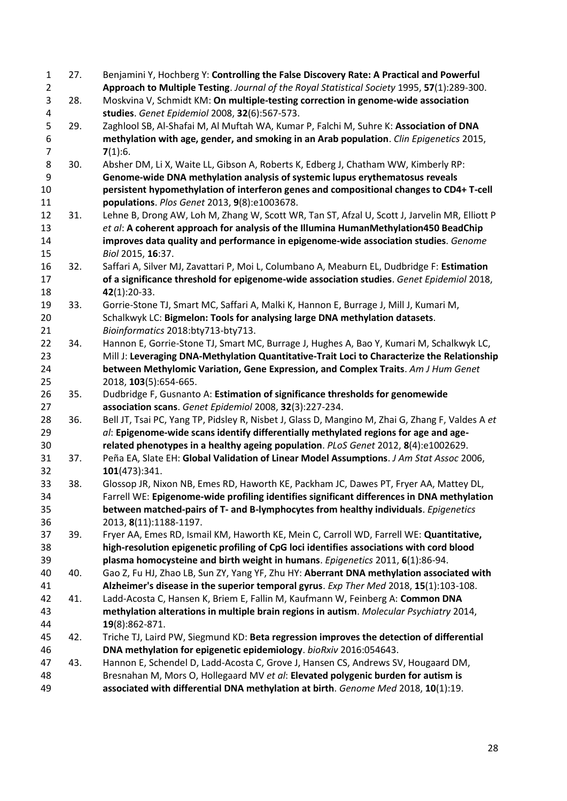| $\mathbf{1}$   | 27. | Benjamini Y, Hochberg Y: Controlling the False Discovery Rate: A Practical and Powerful          |
|----------------|-----|--------------------------------------------------------------------------------------------------|
| $\overline{2}$ |     | Approach to Multiple Testing. Journal of the Royal Statistical Society 1995, 57(1):289-300.      |
| 3              | 28. | Moskvina V, Schmidt KM: On multiple-testing correction in genome-wide association                |
| 4              |     | studies. Genet Epidemiol 2008, 32(6):567-573.                                                    |
| 5              | 29. | Zaghlool SB, Al-Shafai M, Al Muftah WA, Kumar P, Falchi M, Suhre K: Association of DNA           |
| 6              |     | methylation with age, gender, and smoking in an Arab population. Clin Epigenetics 2015,          |
| $\overline{7}$ |     | 7(1):6.                                                                                          |
| 8              | 30. | Absher DM, Li X, Waite LL, Gibson A, Roberts K, Edberg J, Chatham WW, Kimberly RP:               |
| 9              |     | Genome-wide DNA methylation analysis of systemic lupus erythematosus reveals                     |
| 10             |     | persistent hypomethylation of interferon genes and compositional changes to CD4+ T-cell          |
| 11             |     | populations. Plos Genet 2013, 9(8):e1003678.                                                     |
| 12             | 31. | Lehne B, Drong AW, Loh M, Zhang W, Scott WR, Tan ST, Afzal U, Scott J, Jarvelin MR, Elliott P    |
| 13             |     | et al: A coherent approach for analysis of the Illumina HumanMethylation450 BeadChip             |
| 14             |     | improves data quality and performance in epigenome-wide association studies. Genome              |
| 15             |     | Biol 2015, 16:37.                                                                                |
| 16             | 32. | Saffari A, Silver MJ, Zavattari P, Moi L, Columbano A, Meaburn EL, Dudbridge F: Estimation       |
| 17             |     | of a significance threshold for epigenome-wide association studies. Genet Epidemiol 2018,        |
| 18             |     | $42(1):20-33.$                                                                                   |
| 19             | 33. | Gorrie-Stone TJ, Smart MC, Saffari A, Malki K, Hannon E, Burrage J, Mill J, Kumari M,            |
| 20             |     | Schalkwyk LC: Bigmelon: Tools for analysing large DNA methylation datasets.                      |
| 21             |     | Bioinformatics 2018:bty713-bty713.                                                               |
| 22             | 34. | Hannon E, Gorrie-Stone TJ, Smart MC, Burrage J, Hughes A, Bao Y, Kumari M, Schalkwyk LC,         |
| 23             |     | Mill J: Leveraging DNA-Methylation Quantitative-Trait Loci to Characterize the Relationship      |
| 24             |     | between Methylomic Variation, Gene Expression, and Complex Traits. Am J Hum Genet                |
| 25             |     | 2018, 103(5):654-665.                                                                            |
| 26             | 35. | Dudbridge F, Gusnanto A: Estimation of significance thresholds for genomewide                    |
| 27             |     | association scans. Genet Epidemiol 2008, 32(3):227-234.                                          |
| 28             | 36. | Bell JT, Tsai PC, Yang TP, Pidsley R, Nisbet J, Glass D, Mangino M, Zhai G, Zhang F, Valdes A et |
| 29             |     | $al$ : Epigenome-wide scans identify differentially methylated regions for age and age-          |
| 30             |     | related phenotypes in a healthy ageing population. PLoS Genet 2012, 8(4):e1002629.               |
| 31             | 37. | Peña EA, Slate EH: Global Validation of Linear Model Assumptions. J Am Stat Assoc 2006,          |
| 32             |     | 101(473):341.                                                                                    |
| 33             | 38. | Glossop JR, Nixon NB, Emes RD, Haworth KE, Packham JC, Dawes PT, Fryer AA, Mattey DL,            |
| 34             |     | Farrell WE: Epigenome-wide profiling identifies significant differences in DNA methylation       |
| 35             |     | between matched-pairs of T- and B-lymphocytes from healthy individuals. Epigenetics              |
| 36             |     | 2013, 8(11):1188-1197.                                                                           |
| 37             | 39. | Fryer AA, Emes RD, Ismail KM, Haworth KE, Mein C, Carroll WD, Farrell WE: Quantitative,          |
| 38             |     | high-resolution epigenetic profiling of CpG loci identifies associations with cord blood         |
| 39             |     | plasma homocysteine and birth weight in humans. Epigenetics 2011, 6(1):86-94.                    |
| 40             | 40. | Gao Z, Fu HJ, Zhao LB, Sun ZY, Yang YF, Zhu HY: Aberrant DNA methylation associated with         |
| 41             |     | Alzheimer's disease in the superior temporal gyrus. Exp Ther Med 2018, 15(1):103-108.            |
| 42             | 41. | Ladd-Acosta C, Hansen K, Briem E, Fallin M, Kaufmann W, Feinberg A: Common DNA                   |
| 43             |     | methylation alterations in multiple brain regions in autism. Molecular Psychiatry 2014,          |
| 44             |     | 19(8):862-871.                                                                                   |
| 45             | 42. | Triche TJ, Laird PW, Siegmund KD: Beta regression improves the detection of differential         |
| 46             |     | DNA methylation for epigenetic epidemiology. bioRxiv 2016:054643.                                |
| 47             | 43. | Hannon E, Schendel D, Ladd-Acosta C, Grove J, Hansen CS, Andrews SV, Hougaard DM,                |
| 48             |     | Bresnahan M, Mors O, Hollegaard MV et al: Elevated polygenic burden for autism is                |
|                |     |                                                                                                  |
| 49             |     | associated with differential DNA methylation at birth. Genome Med 2018, 10(1):19.                |